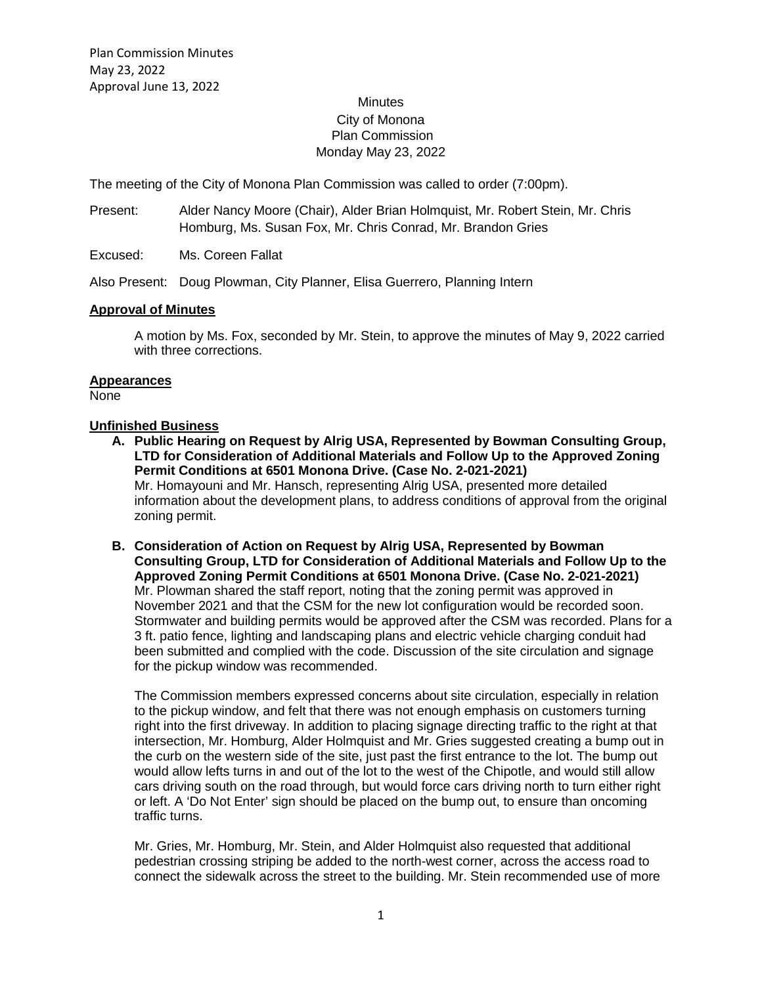# **Minutes** City of Monona Plan Commission Monday May 23, 2022

The meeting of the City of Monona Plan Commission was called to order (7:00pm).

- Present: Alder Nancy Moore (Chair), Alder Brian Holmquist, Mr. Robert Stein, Mr. Chris Homburg, Ms. Susan Fox, Mr. Chris Conrad, Mr. Brandon Gries
- Excused: Ms. Coreen Fallat

Also Present: Doug Plowman, City Planner, Elisa Guerrero, Planning Intern

### **Approval of Minutes**

A motion by Ms. Fox, seconded by Mr. Stein, to approve the minutes of May 9, 2022 carried with three corrections.

#### **Appearances**

None

#### **Unfinished Business**

- **A. Public Hearing on Request by Alrig USA, Represented by Bowman Consulting Group, LTD for Consideration of Additional Materials and Follow Up to the Approved Zoning Permit Conditions at 6501 Monona Drive. (Case No. 2-021-2021)** Mr. Homayouni and Mr. Hansch, representing Alrig USA, presented more detailed information about the development plans, to address conditions of approval from the original zoning permit.
- **B. Consideration of Action on Request by Alrig USA, Represented by Bowman Consulting Group, LTD for Consideration of Additional Materials and Follow Up to the Approved Zoning Permit Conditions at 6501 Monona Drive. (Case No. 2-021-2021)** Mr. Plowman shared the staff report, noting that the zoning permit was approved in November 2021 and that the CSM for the new lot configuration would be recorded soon. Stormwater and building permits would be approved after the CSM was recorded. Plans for a 3 ft. patio fence, lighting and landscaping plans and electric vehicle charging conduit had been submitted and complied with the code. Discussion of the site circulation and signage for the pickup window was recommended.

The Commission members expressed concerns about site circulation, especially in relation to the pickup window, and felt that there was not enough emphasis on customers turning right into the first driveway. In addition to placing signage directing traffic to the right at that intersection, Mr. Homburg, Alder Holmquist and Mr. Gries suggested creating a bump out in the curb on the western side of the site, just past the first entrance to the lot. The bump out would allow lefts turns in and out of the lot to the west of the Chipotle, and would still allow cars driving south on the road through, but would force cars driving north to turn either right or left. A 'Do Not Enter' sign should be placed on the bump out, to ensure than oncoming traffic turns.

Mr. Gries, Mr. Homburg, Mr. Stein, and Alder Holmquist also requested that additional pedestrian crossing striping be added to the north-west corner, across the access road to connect the sidewalk across the street to the building. Mr. Stein recommended use of more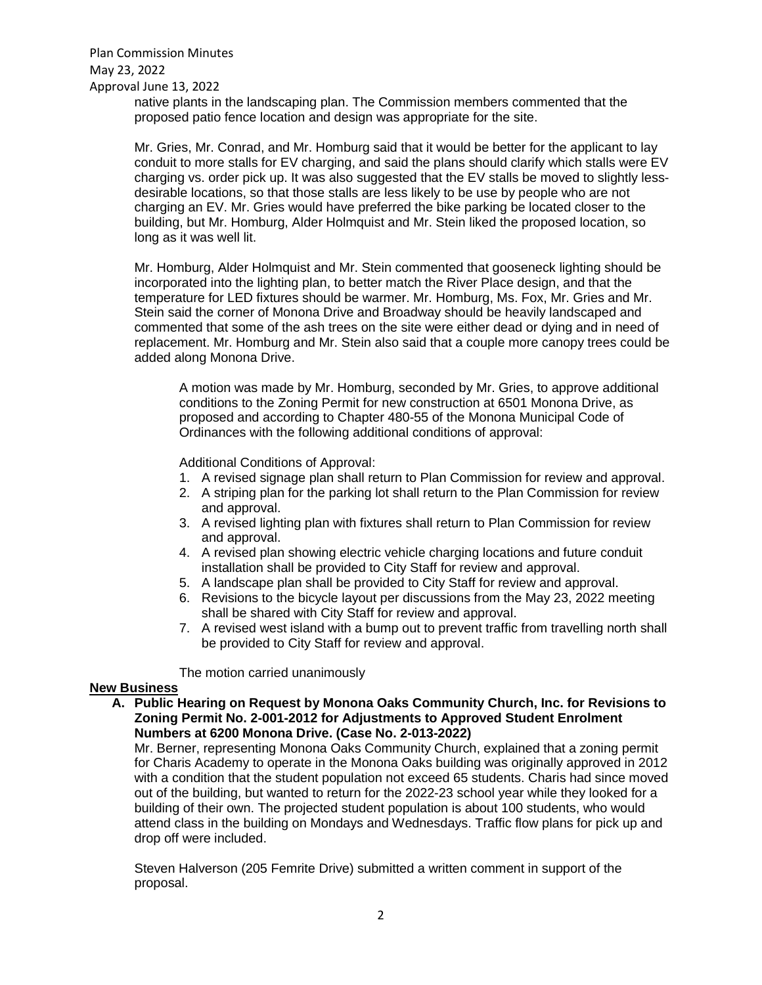Plan Commission Minutes May 23, 2022 Approval June 13, 2022

native plants in the landscaping plan. The Commission members commented that the proposed patio fence location and design was appropriate for the site.

Mr. Gries, Mr. Conrad, and Mr. Homburg said that it would be better for the applicant to lay conduit to more stalls for EV charging, and said the plans should clarify which stalls were EV charging vs. order pick up. It was also suggested that the EV stalls be moved to slightly lessdesirable locations, so that those stalls are less likely to be use by people who are not charging an EV. Mr. Gries would have preferred the bike parking be located closer to the building, but Mr. Homburg, Alder Holmquist and Mr. Stein liked the proposed location, so long as it was well lit.

Mr. Homburg, Alder Holmquist and Mr. Stein commented that gooseneck lighting should be incorporated into the lighting plan, to better match the River Place design, and that the temperature for LED fixtures should be warmer. Mr. Homburg, Ms. Fox, Mr. Gries and Mr. Stein said the corner of Monona Drive and Broadway should be heavily landscaped and commented that some of the ash trees on the site were either dead or dying and in need of replacement. Mr. Homburg and Mr. Stein also said that a couple more canopy trees could be added along Monona Drive.

A motion was made by Mr. Homburg, seconded by Mr. Gries, to approve additional conditions to the Zoning Permit for new construction at 6501 Monona Drive, as proposed and according to Chapter 480-55 of the Monona Municipal Code of Ordinances with the following additional conditions of approval:

Additional Conditions of Approval:

- 1. A revised signage plan shall return to Plan Commission for review and approval.
- 2. A striping plan for the parking lot shall return to the Plan Commission for review and approval.
- 3. A revised lighting plan with fixtures shall return to Plan Commission for review and approval.
- 4. A revised plan showing electric vehicle charging locations and future conduit installation shall be provided to City Staff for review and approval.
- 5. A landscape plan shall be provided to City Staff for review and approval.
- 6. Revisions to the bicycle layout per discussions from the May 23, 2022 meeting shall be shared with City Staff for review and approval.
- 7. A revised west island with a bump out to prevent traffic from travelling north shall be provided to City Staff for review and approval.

The motion carried unanimously

### **New Business**

**A. Public Hearing on Request by Monona Oaks Community Church, Inc. for Revisions to Zoning Permit No. 2-001-2012 for Adjustments to Approved Student Enrolment Numbers at 6200 Monona Drive. (Case No. 2-013-2022)**

Mr. Berner, representing Monona Oaks Community Church, explained that a zoning permit for Charis Academy to operate in the Monona Oaks building was originally approved in 2012 with a condition that the student population not exceed 65 students. Charis had since moved out of the building, but wanted to return for the 2022-23 school year while they looked for a building of their own. The projected student population is about 100 students, who would attend class in the building on Mondays and Wednesdays. Traffic flow plans for pick up and drop off were included.

Steven Halverson (205 Femrite Drive) submitted a written comment in support of the proposal.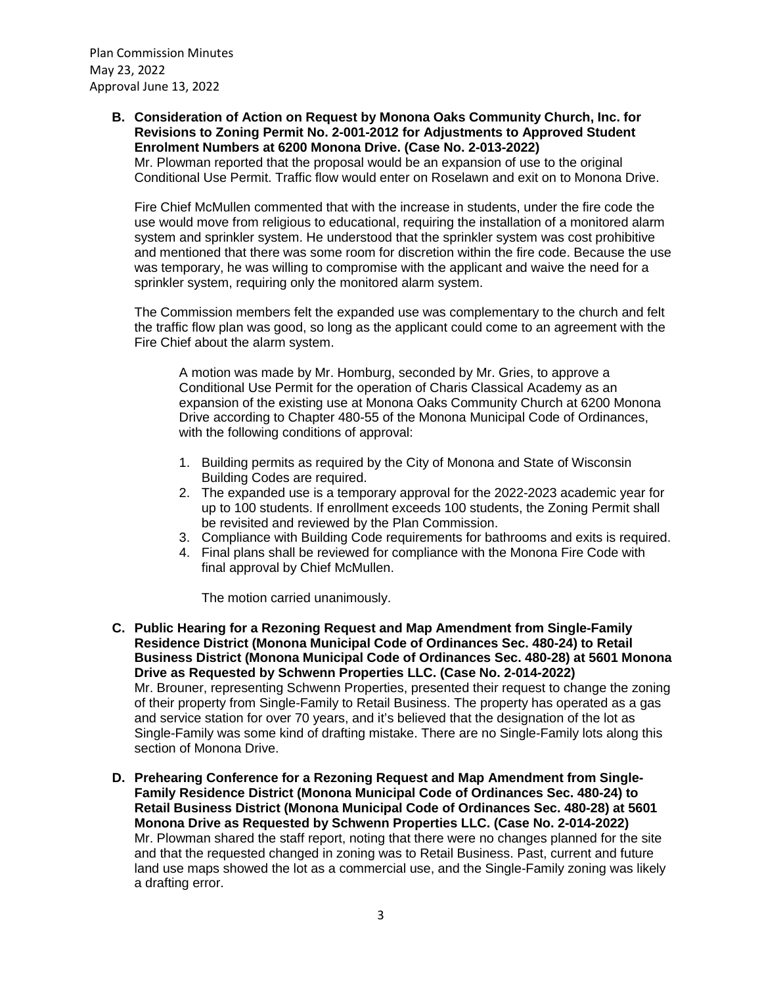Plan Commission Minutes May 23, 2022 Approval June 13, 2022

> **B. Consideration of Action on Request by Monona Oaks Community Church, Inc. for Revisions to Zoning Permit No. 2-001-2012 for Adjustments to Approved Student Enrolment Numbers at 6200 Monona Drive. (Case No. 2-013-2022)**

Mr. Plowman reported that the proposal would be an expansion of use to the original Conditional Use Permit. Traffic flow would enter on Roselawn and exit on to Monona Drive.

Fire Chief McMullen commented that with the increase in students, under the fire code the use would move from religious to educational, requiring the installation of a monitored alarm system and sprinkler system. He understood that the sprinkler system was cost prohibitive and mentioned that there was some room for discretion within the fire code. Because the use was temporary, he was willing to compromise with the applicant and waive the need for a sprinkler system, requiring only the monitored alarm system.

The Commission members felt the expanded use was complementary to the church and felt the traffic flow plan was good, so long as the applicant could come to an agreement with the Fire Chief about the alarm system.

A motion was made by Mr. Homburg, seconded by Mr. Gries, to approve a Conditional Use Permit for the operation of Charis Classical Academy as an expansion of the existing use at Monona Oaks Community Church at 6200 Monona Drive according to Chapter 480-55 of the Monona Municipal Code of Ordinances, with the following conditions of approval:

- 1. Building permits as required by the City of Monona and State of Wisconsin Building Codes are required.
- 2. The expanded use is a temporary approval for the 2022-2023 academic year for up to 100 students. If enrollment exceeds 100 students, the Zoning Permit shall be revisited and reviewed by the Plan Commission.
- 3. Compliance with Building Code requirements for bathrooms and exits is required.
- 4. Final plans shall be reviewed for compliance with the Monona Fire Code with final approval by Chief McMullen.

The motion carried unanimously.

- **C. Public Hearing for a Rezoning Request and Map Amendment from Single-Family Residence District (Monona Municipal Code of Ordinances Sec. 480-24) to Retail Business District (Monona Municipal Code of Ordinances Sec. 480-28) at 5601 Monona Drive as Requested by Schwenn Properties LLC. (Case No. 2-014-2022)** Mr. Brouner, representing Schwenn Properties, presented their request to change the zoning of their property from Single-Family to Retail Business. The property has operated as a gas and service station for over 70 years, and it's believed that the designation of the lot as Single-Family was some kind of drafting mistake. There are no Single-Family lots along this section of Monona Drive.
- **D. Prehearing Conference for a Rezoning Request and Map Amendment from Single-Family Residence District (Monona Municipal Code of Ordinances Sec. 480-24) to Retail Business District (Monona Municipal Code of Ordinances Sec. 480-28) at 5601 Monona Drive as Requested by Schwenn Properties LLC. (Case No. 2-014-2022)** Mr. Plowman shared the staff report, noting that there were no changes planned for the site and that the requested changed in zoning was to Retail Business. Past, current and future land use maps showed the lot as a commercial use, and the Single-Family zoning was likely a drafting error.